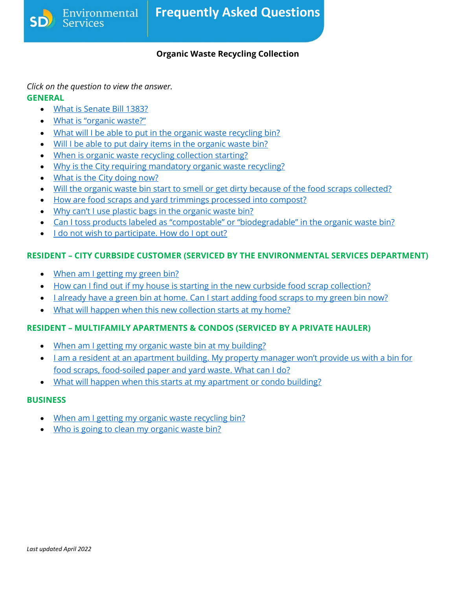## **Organic Waste Recycling Collection**

*Click on the question to view the answer.*

Environmental

**Services** 

## **GENERAL**

- [What is Senate Bill 1383?](#page-1-0)
- [What is "organic waste?"](#page-1-1)
- [What will I be able to put in the organic waste recycling bin?](#page-1-2)
- Will I be able to put dairy items [in the organic waste bin?](#page-1-3)
- [When is organic waste](#page-2-0) recycling collection starting?
- [Why is the City requiring mandatory organic waste recycling?](#page-2-1)
- [What is the City doing now?](#page-2-2)
- [Will the organic waste bin start to smell or get dirty because of the food scraps collected?](#page-2-3)
- [How are food scraps and yard trimmings processed into compost?](#page-3-0)
- [Why can't I use plastic bags in the organic waste bin?](#page-3-1)
- [Can I toss products labeled as "compostable" or "biodegradable" in the organic waste bin?](#page-3-2)
- [I do not wish to participate. How do I opt out?](#page-4-0)

# **RESIDENT – CITY CURBSIDE CUSTOMER (SERVICED BY THE ENVIRONMENTAL SERVICES DEPARTMENT)**

- [When am I getting my green bin?](#page-4-1)
- [How can I find out if my house is starting in the new curbside food scrap collection?](#page-4-2)
- Lalready have a green bin at home. Can I start adding food scraps to my green bin now?
- [What will happen when this new collection starts at my home?](#page-4-4)

# **RESIDENT – MULTIFAMILY APARTMENTS & CONDOS (SERVICED BY A PRIVATE HAULER)**

- [When am I getting my organic waste bin at my building?](#page-4-5)
- [I am a resident at an apartment building. My property manager won't provide us with a bin for](#page-5-0)  [food scraps, food-soiled paper and yard waste. What can I do?](#page-5-0)
- [What will happen when this starts at my apartment](#page-5-1) or condo building?

# **BUSINESS**

- [When am I getting my organic waste recycling bin?](#page-5-2)
- [Who is going to clean my organic waste bin?](#page-5-3)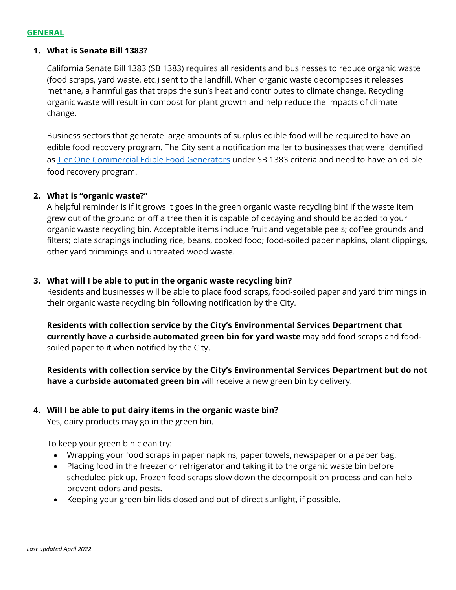#### **GENERAL**

#### <span id="page-1-0"></span>**1. What is Senate Bill 1383?**

California Senate Bill 1383 (SB 1383) requires all residents and businesses to reduce organic waste (food scraps, yard waste, etc.) sent to the landfill. When organic waste decomposes it releases methane, a harmful gas that traps the sun's heat and contributes to climate change. Recycling organic waste will result in compost for plant growth and help reduce the impacts of climate change.

Business sectors that generate large amounts of surplus edible food will be required to have an edible food recovery program. The City sent a notification mailer to businesses that were identified as [Tier One Commercial Edible Food Generators](https://www.sandiego.gov/sites/default/files/tier_one_food_recovery.pdf) under SB 1383 criteria and need to have an edible food recovery program.

#### <span id="page-1-1"></span>**2. What is "organic waste?"**

A helpful reminder is if it grows it goes in the green organic waste recycling bin! If the waste item grew out of the ground or off a tree then it is capable of decaying and should be added to your organic waste recycling bin. Acceptable items include fruit and vegetable peels; coffee grounds and filters; plate scrapings including rice, beans, cooked food; food-soiled paper napkins, plant clippings, other yard trimmings and untreated wood waste.

#### <span id="page-1-2"></span>**3. What will I be able to put in the organic waste recycling bin?**

Residents and businesses will be able to place food scraps, food-soiled paper and yard trimmings in their organic waste recycling bin following notification by the City.

**Residents with collection service by the City's Environmental Services Department that currently have a curbside automated green bin for yard waste** may add food scraps and foodsoiled paper to it when notified by the City.

**Residents with collection service by the City's Environmental Services Department but do not have a curbside automated green bin** will receive a new green bin by delivery.

## <span id="page-1-3"></span>**4. Will I be able to put dairy items in the organic waste bin?**

Yes, dairy products may go in the green bin.

To keep your green bin clean try:

- Wrapping your food scraps in paper napkins, paper towels, newspaper or a paper bag.
- Placing food in the freezer or refrigerator and taking it to the organic waste bin before scheduled pick up. Frozen food scraps slow down the decomposition process and can help prevent odors and pests.
- Keeping your green bin lids closed and out of direct sunlight, if possible.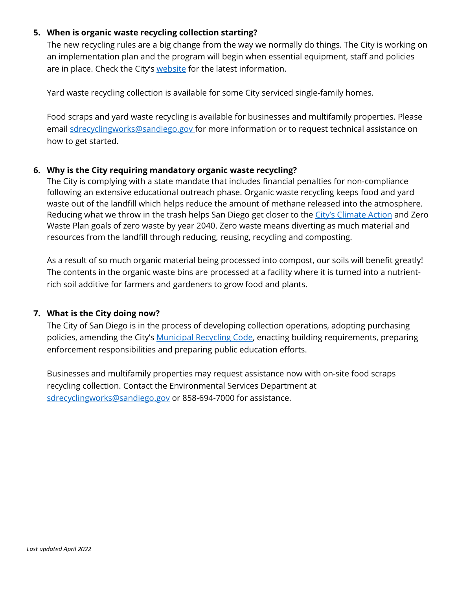## <span id="page-2-0"></span>**5. When is organic waste recycling collection starting?**

The new recycling rules are a big change from the way we normally do things. The City is working on an implementation plan and the program will begin when essential equipment, staff and policies are in place. Check the City's [website](https://www.sandiego.gov/environmental-services/recycling/sb1383) for the latest information.

Yard waste recycling collection is available for some City serviced single-family homes.

<span id="page-2-1"></span>Food scraps and yard waste recycling is available for businesses and multifamily properties. Please email [sdrecyclingworks@sandiego.gov](mailto:sdrecyclingworks@sandiego.gov) for more information or to request technical assistance on how to get started.

## **6. Why is the City requiring mandatory organic waste recycling?**

The City is complying with a state mandate that includes financial penalties for non-compliance following an extensive educational outreach phase. Organic waste recycling keeps food and yard waste out of the landfill which helps reduce the amount of methane released into the atmosphere. Reducing what we throw in the trash helps San Diego get closer to the [City's Climate Action](https://www.sandiego.gov/sustainability/climate-action-plan) and Zero Waste Plan goals of zero waste by year 2040. Zero waste means diverting as much material and resources from the landfill through reducing, reusing, recycling and composting.

As a result of so much organic material being processed into compost, our soils will benefit greatly! The contents in the organic waste bins are processed at a facility where it is turned into a nutrientrich soil additive for farmers and gardeners to grow food and plants.

## <span id="page-2-2"></span>**7. What is the City doing now?**

The City of San Diego is in the process of developing collection operations, adopting purchasing policies, amending the City's **Municipal Recycling Code**, enacting building requirements, preparing enforcement responsibilities and preparing public education efforts.

<span id="page-2-3"></span>Businesses and multifamily properties may request assistance now with on-site food scraps recycling collection. Contact the Environmental Services Department at [sdrecyclingworks@sandiego.gov](mailto:sdrecyclingworks@sandiego.gov) or 858-694-7000 for assistance.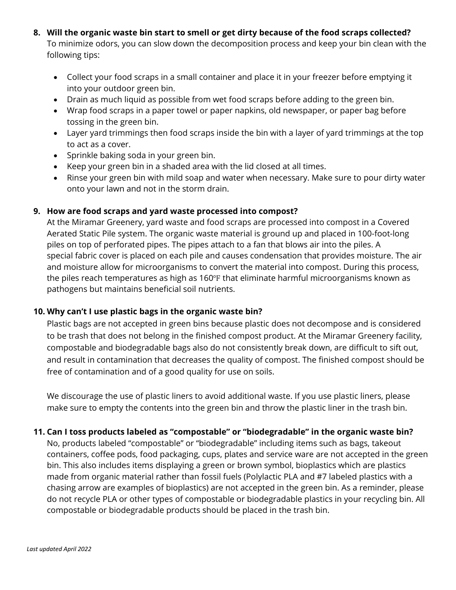- **8. Will the organic waste bin start to smell or get dirty because of the food scraps collected?** To minimize odors, you can slow down the decomposition process and keep your bin clean with the following tips:
	- Collect your food scraps in a small container and place it in your freezer before emptying it into your outdoor green bin.
	- Drain as much liquid as possible from wet food scraps before adding to the green bin.
	- Wrap food scraps in a paper towel or paper napkins, old newspaper, or paper bag before tossing in the green bin.
	- Layer yard trimmings then food scraps inside the bin with a layer of yard trimmings at the top to act as a cover.
	- Sprinkle baking soda in your green bin.
	- Keep your green bin in a shaded area with the lid closed at all times.
	- Rinse your green bin with mild soap and water when necessary. Make sure to pour dirty water onto your lawn and not in the storm drain.

## <span id="page-3-0"></span>**9. How are food scraps and yard waste processed into compost?**

At the Miramar Greenery, yard waste and food scraps are processed into compost in a Covered Aerated Static Pile system. The organic waste material is ground up and placed in 100-foot-long piles on top of perforated pipes. The pipes attach to a fan that blows air into the piles. A special fabric cover is placed on each pile and causes condensation that provides moisture. The air and moisture allow for microorganisms to convert the material into compost. During this process, the piles reach temperatures as high as 160℉ that eliminate harmful microorganisms known as pathogens but maintains beneficial soil nutrients.

## <span id="page-3-1"></span>**10. Why can't I use plastic bags in the organic waste bin?**

Plastic bags are not accepted in green bins because plastic does not decompose and is considered to be trash that does not belong in the finished compost product. At the Miramar Greenery facility, compostable and biodegradable bags also do not consistently break down, are difficult to sift out, and result in contamination that decreases the quality of compost. The finished compost should be free of contamination and of a good quality for use on soils.

We discourage the use of plastic liners to avoid additional waste. If you use plastic liners, please make sure to empty the contents into the green bin and throw the plastic liner in the trash bin.

## <span id="page-3-2"></span>**11. Can I toss products labeled as "compostable" or "biodegradable" in the organic waste bin?**

No, products labeled "compostable" or "biodegradable" including items such as bags, takeout containers, coffee pods, food packaging, cups, plates and service ware are not accepted in the green bin. This also includes items displaying a green or brown symbol, bioplastics which are plastics made from organic material rather than fossil fuels (Polylactic PLA and #7 labeled plastics with a chasing arrow are examples of bioplastics) are not accepted in the green bin. As a reminder, please do not recycle PLA or other types of compostable or biodegradable plastics in your recycling bin. All compostable or biodegradable products should be placed in the trash bin.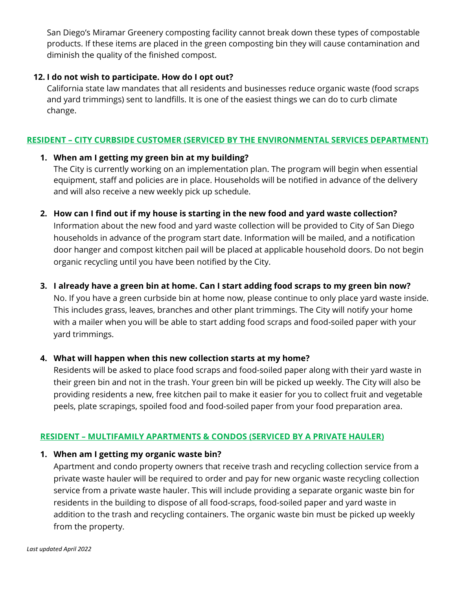San Diego's Miramar Greenery composting facility cannot break down these types of compostable products. If these items are placed in the green composting bin they will cause contamination and diminish the quality of the finished compost.

## <span id="page-4-0"></span>**12. I do not wish to participate. How do I opt out?**

California state law mandates that all residents and businesses reduce organic waste (food scraps and yard trimmings) sent to landfills. It is one of the easiest things we can do to curb climate change.

## **RESIDENT – CITY CURBSIDE CUSTOMER (SERVICED BY THE ENVIRONMENTAL SERVICES DEPARTMENT)**

## <span id="page-4-1"></span>**1. When am I getting my green bin at my building?**

The City is currently working on an implementation plan. The program will begin when essential equipment, staff and policies are in place. Households will be notified in advance of the delivery and will also receive a new weekly pick up schedule.

## <span id="page-4-2"></span>**2. How can I find out if my house is starting in the new food and yard waste collection?**

Information about the new food and yard waste collection will be provided to City of San Diego households in advance of the program start date. Information will be mailed, and a notification door hanger and compost kitchen pail will be placed at applicable household doors. Do not begin organic recycling until you have been notified by the City.

# <span id="page-4-3"></span>**3. I already have a green bin at home. Can I start adding food scraps to my green bin now?**

No. If you have a green curbside bin at home now, please continue to only place yard waste inside. This includes grass, leaves, branches and other plant trimmings. The City will notify your home with a mailer when you will be able to start adding food scraps and food-soiled paper with your yard trimmings.

## <span id="page-4-4"></span>**4. What will happen when this new collection starts at my home?**

Residents will be asked to place food scraps and food-soiled paper along with their yard waste in their green bin and not in the trash. Your green bin will be picked up weekly. The City will also be providing residents a new, free kitchen pail to make it easier for you to collect fruit and vegetable peels, plate scrapings, spoiled food and food-soiled paper from your food preparation area.

# **RESIDENT – MULTIFAMILY APARTMENTS & CONDOS (SERVICED BY A PRIVATE HAULER)**

## <span id="page-4-5"></span>**1. When am I getting my organic waste bin?**

Apartment and condo property owners that receive trash and recycling collection service from a private waste hauler will be required to order and pay for new organic waste recycling collection service from a private waste hauler. This will include providing a separate organic waste bin for residents in the building to dispose of all food-scraps, food-soiled paper and yard waste in addition to the trash and recycling containers. The organic waste bin must be picked up weekly from the property.